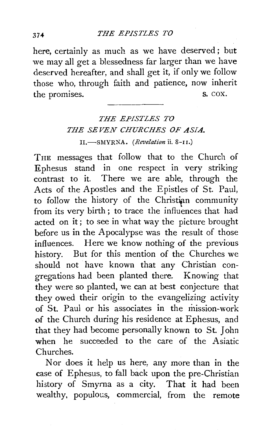here, certainly as much as we have deserved; but we may all get a blessedness far larger than we have deserved hereafter, and shall get it, if only we follow those who, through faith and patience, now inherit the promises. S. COX.

## *THE EPISTLES TO THE SEVEN CHURCHES OF ASIA.*  II.-SMYRNA. *(Revelation* ii. 8-u.)

THE messages that follow that to the Church of Ephesus stand in one respect in very striking contrast to it. There we are able, through the Acts of the Apostles and the Epistles of St. Paul, to follow the history of the Christian community from its very birth; to trace the influences that had acted on it; to see in what way the picture brought before us in the Apocalypse was the result of those influences. Here we know nothing of the previous history. But for this mention of the Churches we should not have known that any Christian congregations had been planted there. Knowing that they were so planted, we can at best conjecture that they owed their origin to the evangelizing activity of St. Paul or his associates in the mission-work of the Church during his residence at Ephesus, and that they had become personally known to St. John when he succeeded to the care of the Asiatic Churches.

Nor does it help us here, any more than in the case of Ephesus, to fall back upon the pre-Christian history of Smyrna as a city. That it had been wealthy, populous, commercial, from the remote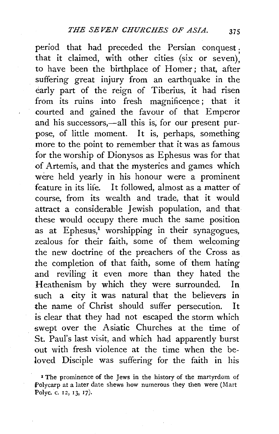period that had preceded the Persian conquest . that it claimed, with other cities (six or seven), to have been the birthplace of Homer; that, after suffering great injury from an earthquake in the early part of the reign of Tiberius, it had risen from its ruins into fresh magnificence; that it courted and gained the favour of that Emperor and his successors,—all this is, for our present purpose, of little moment. It is, perhaps, something more to the point to remember that it was as famous for the worship of Dionysos as Ephesus was for that of Artemis, and that the mysteries and games which were held yearly in his honour were a prominent feature in its life. It followed, almost as a matter of course, from its wealth and trade, that it would attract a considerable Jewish population, and that these would occupy there much the same position as at  $Ephesus$ <sup>1</sup> worshipping in their synagogues, zealous for their faith, some of them welcoming the new doctrine of the preachers of the Cross as the completion of that faith, some of them hating and reviling it even more than they hated the Heathenism by which they were surrounded. In such a city it was natural that the believers in the name of Christ should suffer persecution. It is clear that they had not escaped the storm which swept over the Asiatic Churches at the time of St. Paul's last visit, and which had apparently burst out with fresh violence at the time when the beloved Disciple was suffering for the faith in his

<sup>&</sup>lt;sup>I</sup> The prominence of the Jews in the history of the martyrdom of f'olycarp at a later date shews how numerous they then were (Mart Polyc. c. 12, 13, 17).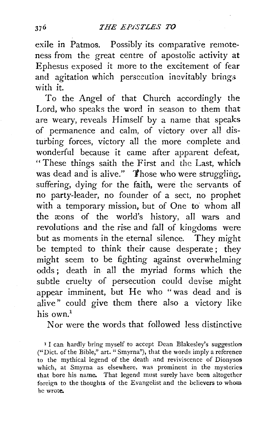exile in Patmos. Possibly its comparative remoteness from the great centre of apostolic activity at Ephesus exposed it more to the excitement of fear and agitation which persecution inevitably brings with it.

To the Angel of that Church accordingly the Lord, who speaks the word in season to them that are weary, reveals Himself by a name that speaks of permanence and calm, of victory over all disturbing forces, victory all the more complete and wonderful because it came after apparent defeat, " These things saith the First and the Last, which was dead and is alive." Those who were struggling. suffering, dying for the faith, were the servants of no party-leader, no founder of a sect, no prophet with a temporary mission, but of One to whom all the ceons of the world's history, all wars and revolutions and the rise and fall of kingdoms were but as moments ih the eternal silence. They might be tempted to think their cause desperate; they might seem to be fighting against overwhelming odds; death in all the myriad forms which the subtle cruelty of persecution could devise might appear imminent, but He who "was dead and is alive" could give them there also a victory like his own.<sup>1</sup>

Nor were the words that followed less distinctive

<sup>1</sup> I can hardly bring myself to accept Dean Blakesley's suggestion ("Diet. of the Bible," art. "Smyrna"), that the words imply a reference to the mythical legend of the death and reviviscence of Dionysos which, at Smyrna as elsewhere, was prominent in the mysteries that bore his name. That legend must surely have been altogether foreign to the thoughts of the Evangelist and the believers to whom he wrote.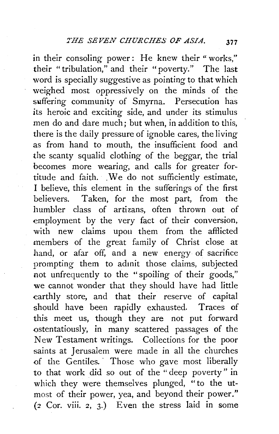in their consoling power: He knew their " works," their "tribulation," and their "poverty." The last word is specially suggestive as pointing to that which weighed most oppressively on the minds of the suffering community of Smyrna. Persecution has its heroic and exciting side, and under its stimulus men do and dare much; but when, in addition to this, there is the daily pressure of ignoble cares, the living as from hand to mouth, the insufficient food and the scanty squalid clothing of the beggar, the trial becomes more wearing, and calls for greater fortitude and faith. We do not sufficiently estimate, I believe, this element in the sufferings of the first believers. Taken, for the most part, from the humbler class of artizans, often thrown out of employment by the very fact of their conversion, with new claims upon them from the afflicted members of the great family of Christ close at hand, or afar off, and a new energy of sacrifice prompting them to admit those claims, subjected not unfrequently to the "spoiling of their goods," we cannot wonder that they should have had little earthly store, and that their reserve of capital should have been rapidly exhausted. Traces of this meet us, though they are not put forward ostentatiously, in many scattered passages of the New Testament writings. Collections for the poor saints at Jerusalem were made in all the churches of the Gentiles. Those who gave most liberally to that work did so out of the " deep poverty " in which they were themselves plunged, "to the utmost of their power, yea, and beyond their power."  $(2$  Cor. viii.  $2$ ,  $3$ .) Even the stress laid in some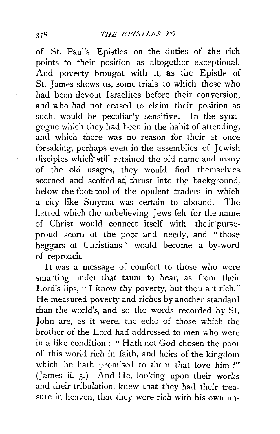of St. Paul's Epistles on the duties of the rich points to their position as altogether exceptional. And poverty brought with it, as the Epistle of St. James shews us, some trials to which those who had been devout Israelites before their conversion, and who had not ceased to claim their position as such, would be peculiarly sensitive. In the synagogue which they had been in the habit of attending, and which there was no reason for their at once forsaking, perhaps even. in the assemblies of Jewish disciples which still retained the old name and many of the old usages, they would find themselves scorned and scoffed at, thrust into the background, below the footstool of the opulent traders in which a city like Smyrna was certain to abound. The hatred which the unbelieving Jews felt for the name of Christ would connect itself with their purseproud scorn of the poor and needy, and " those beggars of Christians" would become a by-word of reproach.

It was a message of comfort to those who were smarting under that taunt to hear, as from their Lord's lips, " I know thy poverty, but thou art rich." He measured poverty and riches by another standard than the world's, and so the words recorded by St. John are, as it were, the echo of those which the brother of the Lord had addressed to men who were in a like condition : " Hath not God chosen the poor of this world rich in faith, and heirs of the kingdom which he hath promised to them that love him?" (James ii. 5.) And He, looking upon their works and their tribulation, knew that they had their treasure in heaven, that they were rich with his own un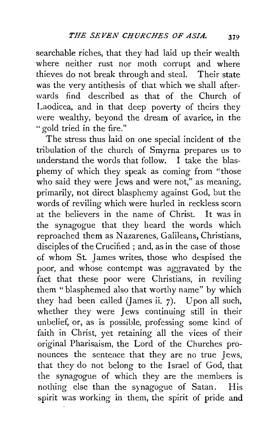searchable riches, that they had laid up their wealth where neither rust nor moth corrupt and where thieves do not break through and steal. Their state was the very antithesis of that which we shall afterwards find described as that of the Church of Laodicea, and in that deep poverty of theirs they were wealthy, beyond the dream of avarice, in the " gold tried in the fire."

The stress thus laid on one special incident of the tribulation of the church of Smyrna prepares us to understand the words that follow. I take the blasphemy of which they speak as coming from "those who said they were Jews and were not," as meaning, primarily, not direct blasphemy against God, but the words of reviling which were hurled in reckless scorn at the believers in the name of Christ. It was in the synagogue that they heard the words which reproached them as Nazarenes, Galileans, Christians, disciples of the Crucified ; and, as in the case of those of whom St. James writes, those who despised the poor, and whose contempt was aggravated by the fact that these poor were Christians, in reviling them "blasphemed also that worthy name" by which they had been called (lames ii. 7). Upon all such, whether they were Jews continuing still in their unbelief, or, as is possible, professing some kind of faith in Christ, yet retaining all the vices of their original Pharisaism, the Lord of the Churches pronounces the sentence that they are no true Jews, that they do not belong to the Israel of God, that the synagogue of which they are the members is nothing else than the synagogue of Satan. His spirit was working in them, the spirit of pride and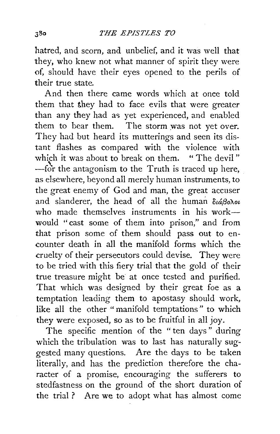hatred, and scorn, and unbelief, and it was well that they, who knew not what manner of spirit they were of, should have their eyes opened to the perils of their true state.

And then there came words which at once told them that they had to face evils that were greater than any they had as yet experienced, and enabled them to bear them. The storm was not yet over. They had but heard its mutterings and seen its distant flashes as compared with the violence with which it was about to break on them. " The devil"  $-$ for the antagonism to the Truth is traced up here, as elsewhere, beyond all merely human instruments, to the great enemy of God and man, the great accuser and slanderer, the head of all the human  $\delta u \beta \partial \lambda \delta u$ who made themselves instruments in his work $$ would " cast some of them into prison," and from that prison some of them should pass out to encounter death in all the manifold forms which the cruelty of their persecutors could devise. They were to be tried with this fiery trial that the gold of their true treasure might be at once tested and purified. That which was designed by their great foe as a temptation leading them to apostasy should work, like all the other "manifold temptations" to which they were exposed, so as to be fruitful in all joy.

The specific mention of the "ten days" during which the tribulation was to last has naturally suggested many questions. Are the days to be taken literally, and has the prediction therefore the character of a promise, encouraging the sufferers to stedfastness on the ground of the short duration of the trial ? Are we to adopt what has almost come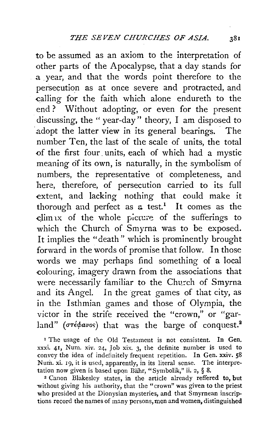to be assumed as an axiom to the interpretation of other parts of the Apocalypse, that a day stands for a year, and that the words point therefore to the persecution as at once severe and protracted, and calling for the faith which alone endureth to the end ? Without adopting, or even for the present discussing, the " year-day" theory, I am disposed to adopt the latter view in its general bearings. The number Ten, the last of the scale of units, the total of the first four units, each of which had a mystic meaning of its own, is naturally, in the symbolism of numbers, the representative ot completeness, and here, therefore, of persecution carried to its full extent, and lacking nothing that could make it thorough and perfect as  $a$  test.<sup>1</sup> It comes as the clim 1x of the whole picture of the sufferings to which the Church of Smyrna was to be exposed. It implies the "death" which is prominently brought forward in the words of promise that follow. In those words we may perhaps find something of a local colouring, imagery drawn from the associations that were necessarily familiar to the Church of Smyrna and its Angel. In the great games of that city, as in the lsthmian games and those of Olympia, the victor in the strife received the "crown," or "garland" ( $\sigma$ <sup>r</sup>é $\phi$ avos) that was the barge of conquest.<sup>2</sup>

<sup>1</sup> The usage of the Old Testament is not consistent. In Gen. xxxi. 41, Num. xiv. 24, Job xix. 3, the definite number is used to convey the idea of indefinitely frequent repetition. In Gen. xxiv. 58 Num. xi. 19, it is used, apparently, in its literal sense. The interpretation now given is based upon Bahr, "Symbolik," ii. 2, § 8.

*z* Canon Blakesley states, in the article already reffered to, but without giving his authority, that the "crown" was given to the priest who presided at the Dionysian mysteries, and that Smyrnean inscrip· tions record the names of many persons, men and women, distinguished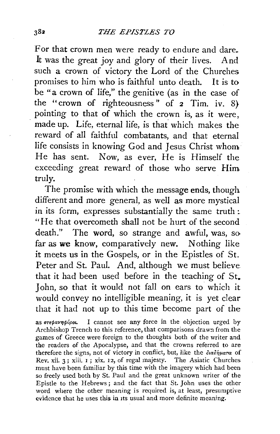For that crown men were ready to endure and dare. It was the great joy and glory of their lives. And such a crown of victory the Lord of the Churches promises to him who is faithful unto death. It is to be "a crown of life," the genitive (as in the case of the "crown of righteousness" of 2 Tim. iv. 8) pointing to that of which the crown is, as it were, made up. Life, eternal life, is that which makes the reward of all faithful combatants, and that eternal life consists in knowing God and Jesus Christ whom He has sent. Now, as ever, He is Himself the exceeding great reward of those who serve Him truly.

The promise with which the message ends, though different and more general, as *well* as more mystical in its form, expresses substantially the same truth: "He that overcometh shall not be hurt of the second death." The word, so strange and awful, was, so far as we know, comparatively new. Nothing like it meets us in the Gospels, or in the Epistles of St. Peter and St. Paul. And, although we must believe that it had been used before in the teaching of St. John, so that it would not fall on ears to which it would convey no intelligible meaning, it is yet clear that it had not up to this time become part of the

as *arepavnopipou*. I cannot see any force in the objection urged by Archbishop Trench to this reference, that comparisons drawn from the games of Greece were foreign to the thoughts both of the writer and the readers of the Apocalypse, and that the crowns referred to are therefore the signs, not of victory in conflict, but, like the  $\frac{\partial u}{\partial p}$ uara of Rev. xii. 3; xiii. I ; xix. 12, of regal majesty. The Asiatic Churches must have been familiar by this time with the imagery which had been so freely used both by St. Paul and the great unknown writer of the Epistle to the Hebrews; and the fact that St. John uses the other word where the other meaning is required is, at least, presumptive evidence that he uses this in 1ts usual and more definite meaning.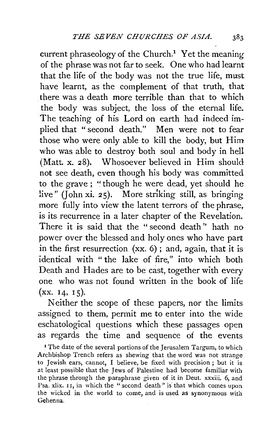current phraseology of the Church.<sup>1</sup> Yet the meaning of the phrase was not far to seek. One who had learnt that the life of the body was not the true life, must have learnt, as the complement of that truth, that . there was a death more terrible than that to which the body was subject, the loss of the eternal life. The teaching of his Lord on earth had indeed implied that " second death." Men were not to fear those who were only able to kill the body, but Him who was able to destroy both soul and body in hell (Matt. x. 28). Whosoever believed in Him should not see death, even though his body was committed to the grave ; "though he were dead, yet should he live" (John xi. 25). More striking still, as bringing more fully into view the latent terrors of the phrase, is its recurrence in a later chapter of the Revelation. There it is said that the "second death'' hath no power over the blessed and holy ones who have part in the first resurrection  $(xx, 6)$ ; and, again, that it is identical with "the lake of fire," into which both Death and Hades are to be cast, together with every one who was not found written in the book of life  $(xx. 14, 15)$ .

Neither the scope of these papers, nor the limits assigned to them, permit me to enter into the wide eschatological questions which these passages open as regards the time and sequence of the events

<sup>1</sup> The date of the several portions of the Jerusalem Targum, to which Archbishop Trench refers as shewing that the word was not strange to Jewish ears, cannot, I believe, be fixed with precision; but it is at least possible that the Jews of Palestine had become familiar with the phrase through the paraphrase given of it in Deut. xxxiii. 6, and Psa. xlix. 11, in which the "second death" is that which comes upon the wicked in the world to come, and is used as synonymous with Gehenna.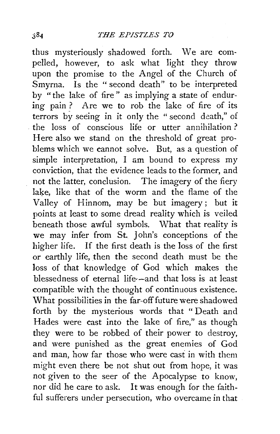thus mysteriously shadowed forth. We are compelled, however, to ask what light they throw upon the promise to the Angel of the Church of Smyrna. Is the "second death" to be interpreted by "the lake of fire" as implying a state of enduring pain ? Are we to rob the lake of fire of its terrors by seeing in it only the " second death," of . the loss of conscious life or utter annihilation ? Here also we stand on the threshold of great problems which we cannot solve. But, as a question of simple interpretation, I am bound to express my conviction, that the evidence leads to the former, and not the latter, conclusion. The imagery of the fiery lake, like that of the worm and the flame of the Valley of Hinnom, may be but imagery ; but it points at least to some dread reality which is veiled beneath those awful symbols. What that reality is we may infer from St. John's conceptions of the higher life. If the first death is the loss of the first or earthly life, then the second death must be the loss of that knowledge of God which makes the blessedness of eternal life--and that loss is at least compatible with the thought of continuous existence. What possibilities in the far-off future were shadowed forth by the mysterious words that " Death and Hades were cast into the lake of fire," as though they were to be robbed of their power to destroy, and were punished as the great enemies of God and man, how far those who were cast in with them might even there be not shut out from hope, it was not given to the seer of the Apocalypse to know, nor did he care to ask. It was enough for the faithful sufferers under persecution, who overcame in that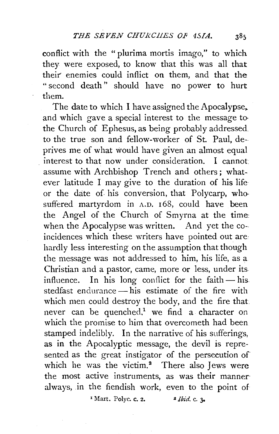conflict with the "plurima mortis imago," to which they were exposed, to know that this was all that their enemies could inflict on them, and that the " second death" should have no power to hurt them.

The date to which I have assigned the Apocalypse, and which gave a special interest to the message to· the Church of Ephesus, as being probably addressed to the true son and fellow-worker of St. Paul, deprives me of what would have given an almost equal . interest to that now under consideration. I cannot assume with Archbishop Trench and others; whatever latitude I may give to the duration of his life or the date of his conversion, that Polycarp, who suffered martyrdom in A.D. 168, could have been the Angel of the Church of Smyrna at the time: when the Apocalypse was written. And yet the coincidences which these writers have pointed out are hardly less interesting on the assumption that though the message was not addressed to him, his life, as a Christian and a pastor, came, more or less, under its influence. In his long conflict for the faith-his. stedfast endurance $-\overline{\text{his}}$  estimate of the fire with which men could destroy the body, and the fire that never can be quenched,<sup>1</sup> we find a character on which the promise to him that overcometh had been stamped indelibly. In the narrative of his sufferings, as in the Apocalyptic message, the devil is represented as the great instigator of the persecution of which he was the victim.<sup>2</sup> There also Jews were the most active instruments, as was their manner· always, in the fiendish work, even to the point of

 $\frac{1}{4}$  Mart. Polyc. c. 2.  $\frac{2}{3}$